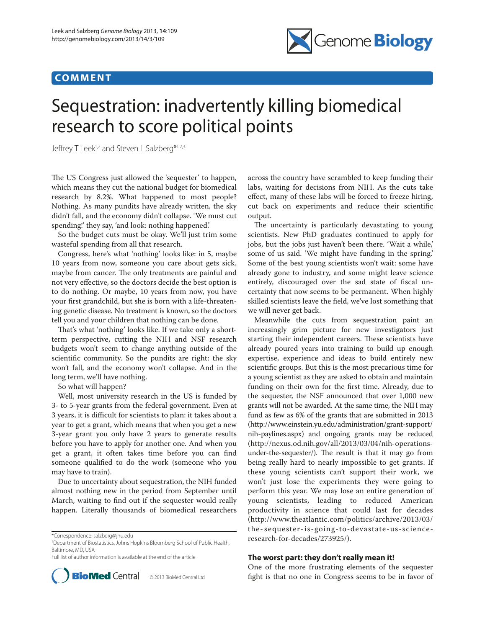## **CO M M E N T**



## Sequestration: inadvertently killing biomedical research to score political points

Jeffrey T Leek<sup>1,2</sup> and Steven L Salzberg<sup>\*1,2,3</sup>

The US Congress just allowed the 'sequester' to happen, which means they cut the national budget for biomedical research by 8.2%. What happened to most people? Nothing. As many pundits have already written, the sky didn't fall, and the economy didn't collapse. 'We must cut spending!' they say, 'and look: nothing happened.'

So the budget cuts must be okay. We'll just trim some wasteful spending from all that research.

Congress, here's what 'nothing' looks like: in 5, maybe 10 years from now, someone you care about gets sick, maybe from cancer. The only treatments are painful and not very effective, so the doctors decide the best option is to do nothing. Or maybe, 10 years from now, you have your first grandchild, but she is born with a life-threatening genetic disease. No treatment is known, so the doctors tell you and your children that nothing can be done.

That's what 'nothing' looks like. If we take only a shortterm perspective, cutting the NIH and NSF research budgets won't seem to change anything outside of the scientific community. So the pundits are right: the sky won't fall, and the economy won't collapse. And in the long term, we'll have nothing.

So what will happen?

Well, most university research in the US is funded by 3- to 5-year grants from the federal government. Even at 3 years, it is difficult for scientists to plan: it takes about a year to get a grant, which means that when you get a new 3-year grant you only have 2 years to generate results before you have to apply for another one. And when you get a grant, it often takes time before you can find someone qualified to do the work (someone who you may have to train).

Due to uncertainty about sequestration, the NIH funded almost nothing new in the period from September until March, waiting to find out if the sequester would really happen. Literally thousands of biomedical researchers

1 Department of Biostatistics, Johns Hopkins Bloomberg School of Public Health, Baltimore, MD, USA

Full list of author information is available at the end of the article



across the country have scrambled to keep funding their labs, waiting for decisions from NIH. As the cuts take effect, many of these labs will be forced to freeze hiring, cut back on experiments and reduce their scientific output.

The uncertainty is particularly devastating to young scientists. New PhD graduates continued to apply for jobs, but the jobs just haven't been there. 'Wait a while,' some of us said. 'We might have funding in the spring.' Some of the best young scientists won't wait: some have already gone to industry, and some might leave science entirely, discouraged over the sad state of fiscal uncertainty that now seems to be permanent. When highly skilled scientists leave the field, we've lost something that we will never get back.

Meanwhile the cuts from sequestration paint an increasingly grim picture for new investigators just starting their independent careers. These scientists have already poured years into training to build up enough expertise, experience and ideas to build entirely new scientific groups. But this is the most precarious time for a young scientist as they are asked to obtain and maintain funding on their own for the first time. Already, due to the sequester, the NSF announced that over 1,000 new grants will not be awarded. At the same time, the NIH may fund as few as 6% of the grants that are submitted in 2013 (http://www.einstein.yu.edu/administration/grant-support/ nih-paylines.aspx) and ongoing grants may be reduced (http://nexus.od.nih.gov/all/2013/03/04/nih-operationsunder-the-sequester/). The result is that it may go from being really hard to nearly impossible to get grants. If these young scientists can't support their work, we won't just lose the experiments they were going to perform this year. We may lose an entire generation of young scientists, leading to reduced American productivity in science that could last for decades (http://www.theatlantic.com/politics/archive/2013/03/ the- sequester- is-going-to-devastate-us-scienceresearch-for-decades/273925/).

## **The worst part: they don't really mean it!**

One of the more frustrating elements of the sequester **BioMed** Central © 2013 BioMed Central Ltd fight is that no one in Congress seems to be in favor of

<sup>\*</sup>Correspondence: salzberg@jhu.edu